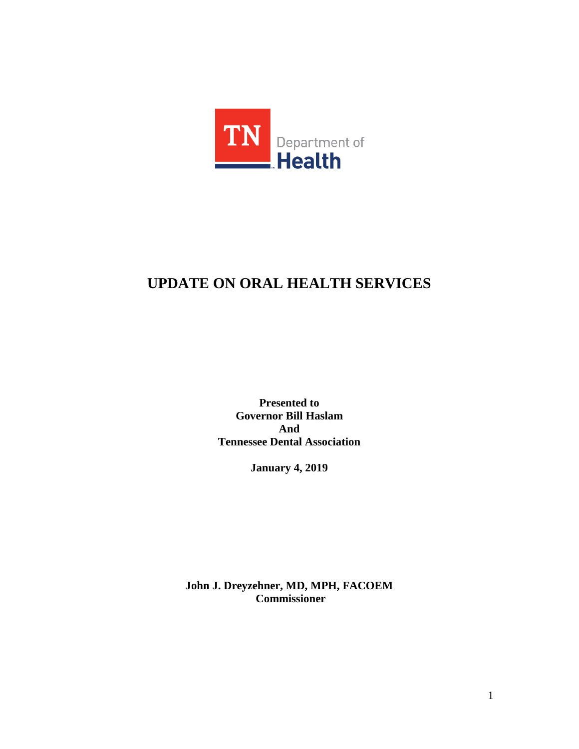

# **UPDATE ON ORAL HEALTH SERVICES**

**Presented to Governor Bill Haslam And Tennessee Dental Association**

**January 4, 2019**

**John J. Dreyzehner, MD, MPH, FACOEM Commissioner**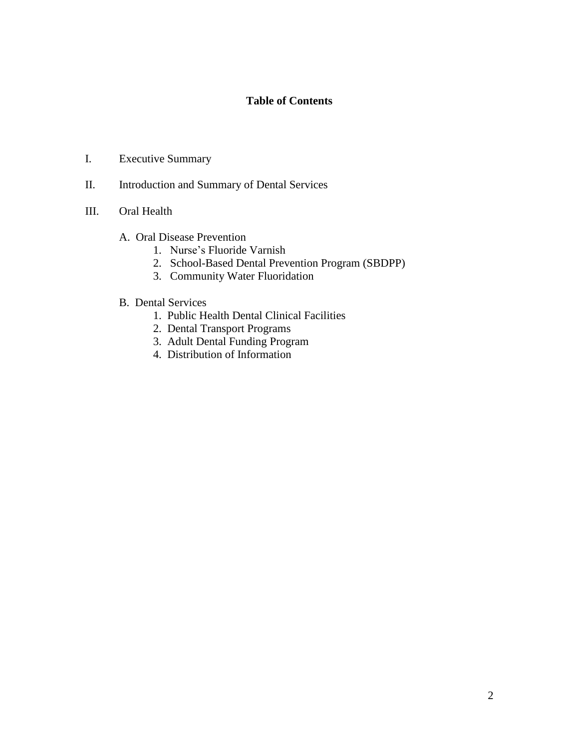# **Table of Contents**

- I. Executive Summary
- II. Introduction and Summary of Dental Services
- III. Oral Health
	- A. Oral Disease Prevention
		- 1. Nurse's Fluoride Varnish
		- 2. School-Based Dental Prevention Program (SBDPP)
		- 3. Community Water Fluoridation
	- B. Dental Services
		- 1. Public Health Dental Clinical Facilities
		- 2. Dental Transport Programs
		- 3. Adult Dental Funding Program
		- 4. Distribution of Information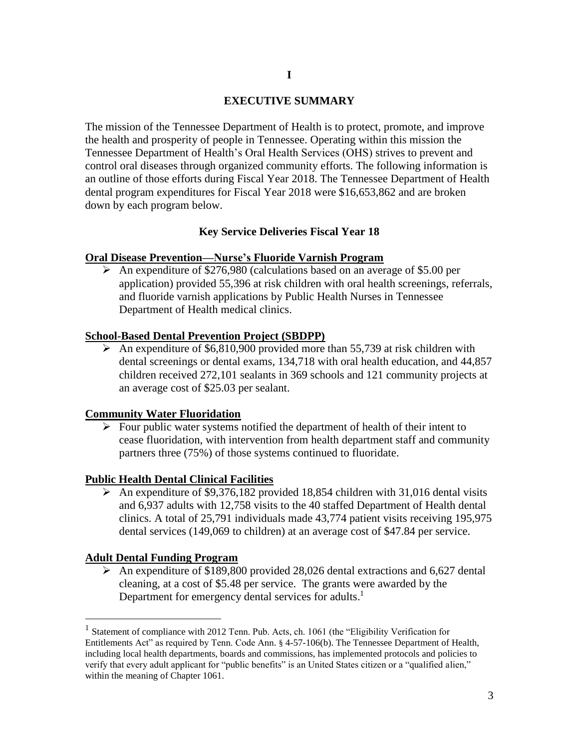# **EXECUTIVE SUMMARY**

The mission of the Tennessee Department of Health is to protect, promote, and improve the health and prosperity of people in Tennessee. Operating within this mission the Tennessee Department of Health's Oral Health Services (OHS) strives to prevent and control oral diseases through organized community efforts. The following information is an outline of those efforts during Fiscal Year 2018. The Tennessee Department of Health dental program expenditures for Fiscal Year 2018 were \$16,653,862 and are broken down by each program below.

## **Key Service Deliveries Fiscal Year 18**

#### **Oral Disease Prevention—Nurse's Fluoride Varnish Program**

 An expenditure of \$276,980 (calculations based on an average of \$5.00 per application) provided 55,396 at risk children with oral health screenings, referrals, and fluoride varnish applications by Public Health Nurses in Tennessee Department of Health medical clinics.

#### **School-Based Dental Prevention Project (SBDPP)**

 $\triangleright$  An expenditure of \$6,810,900 provided more than 55,739 at risk children with dental screenings or dental exams, 134,718 with oral health education, and 44,857 children received 272,101 sealants in 369 schools and 121 community projects at an average cost of \$25.03 per sealant.

# **Community Water Fluoridation**

 $\triangleright$  Four public water systems notified the department of health of their intent to cease fluoridation, with intervention from health department staff and community partners three (75%) of those systems continued to fluoridate.

## **Public Health Dental Clinical Facilities**

An expenditure of \$9,376,182 provided 18,854 children with 31,016 dental visits and 6,937 adults with 12,758 visits to the 40 staffed Department of Health dental clinics. A total of 25,791 individuals made 43,774 patient visits receiving 195,975 dental services (149,069 to children) at an average cost of \$47.84 per service.

### **Adult Dental Funding Program**

 $\overline{a}$ 

 $\triangleright$  An expenditure of \$189,800 provided 28,026 dental extractions and 6,627 dental cleaning, at a cost of \$5.48 per service. The grants were awarded by the Department for emergency dental services for adults.<sup>1</sup>

<sup>&</sup>lt;sup>1</sup> Statement of compliance with 2012 Tenn. Pub. Acts, ch. 1061 (the "Eligibility Verification for Entitlements Act" as required by Tenn. Code Ann. § 4-57-106(b). The Tennessee Department of Health, including local health departments, boards and commissions, has implemented protocols and policies to verify that every adult applicant for "public benefits" is an United States citizen or a "qualified alien," within the meaning of Chapter 1061.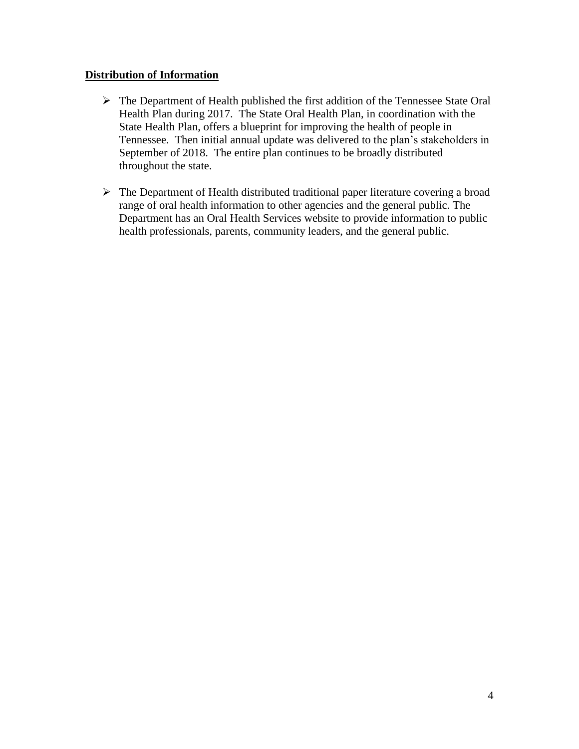# **Distribution of Information**

- $\triangleright$  The Department of Health published the first addition of the Tennessee State Oral Health Plan during 2017. The State Oral Health Plan, in coordination with the State Health Plan, offers a blueprint for improving the health of people in Tennessee. Then initial annual update was delivered to the plan's stakeholders in September of 2018. The entire plan continues to be broadly distributed throughout the state.
- $\triangleright$  The Department of Health distributed traditional paper literature covering a broad range of oral health information to other agencies and the general public. The Department has an Oral Health Services website to provide information to public health professionals, parents, community leaders, and the general public.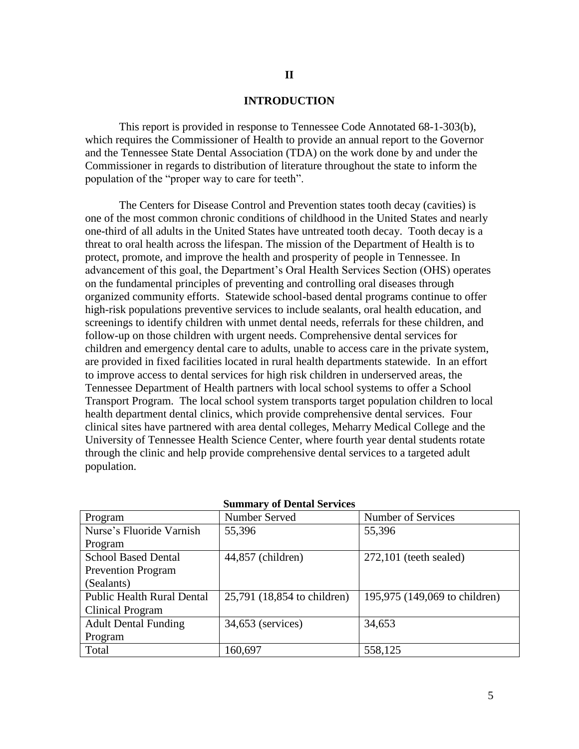#### **INTRODUCTION**

This report is provided in response to Tennessee Code Annotated 68-1-303(b), which requires the Commissioner of Health to provide an annual report to the Governor and the Tennessee State Dental Association (TDA) on the work done by and under the Commissioner in regards to distribution of literature throughout the state to inform the population of the "proper way to care for teeth".

The Centers for Disease Control and Prevention states tooth decay (cavities) is one of the most common chronic conditions of childhood in the United States and nearly one-third of all adults in the United States have untreated tooth decay. Tooth decay is a threat to oral health across the lifespan. The mission of the Department of Health is to protect, promote, and improve the health and prosperity of people in Tennessee. In advancement of this goal, the Department's Oral Health Services Section (OHS) operates on the fundamental principles of preventing and controlling oral diseases through organized community efforts. Statewide school-based dental programs continue to offer high-risk populations preventive services to include sealants, oral health education, and screenings to identify children with unmet dental needs, referrals for these children, and follow-up on those children with urgent needs. Comprehensive dental services for children and emergency dental care to adults, unable to access care in the private system, are provided in fixed facilities located in rural health departments statewide. In an effort to improve access to dental services for high risk children in underserved areas, the Tennessee Department of Health partners with local school systems to offer a School Transport Program. The local school system transports target population children to local health department dental clinics, which provide comprehensive dental services. Four clinical sites have partnered with area dental colleges, Meharry Medical College and the University of Tennessee Health Science Center, where fourth year dental students rotate through the clinic and help provide comprehensive dental services to a targeted adult population.

| Program                           | Number Served               | Number of Services            |
|-----------------------------------|-----------------------------|-------------------------------|
| Nurse's Fluoride Varnish          | 55,396                      | 55,396                        |
| Program                           |                             |                               |
| <b>School Based Dental</b>        | 44,857 (children)           | $272,101$ (teeth sealed)      |
| <b>Prevention Program</b>         |                             |                               |
| (Sealants)                        |                             |                               |
| <b>Public Health Rural Dental</b> | 25,791 (18,854 to children) | 195,975 (149,069 to children) |
| Clinical Program                  |                             |                               |
| <b>Adult Dental Funding</b>       | 34,653 (services)           | 34,653                        |
| Program                           |                             |                               |
| Total                             | 160,697                     | 558,125                       |

#### **Summary of Dental Services**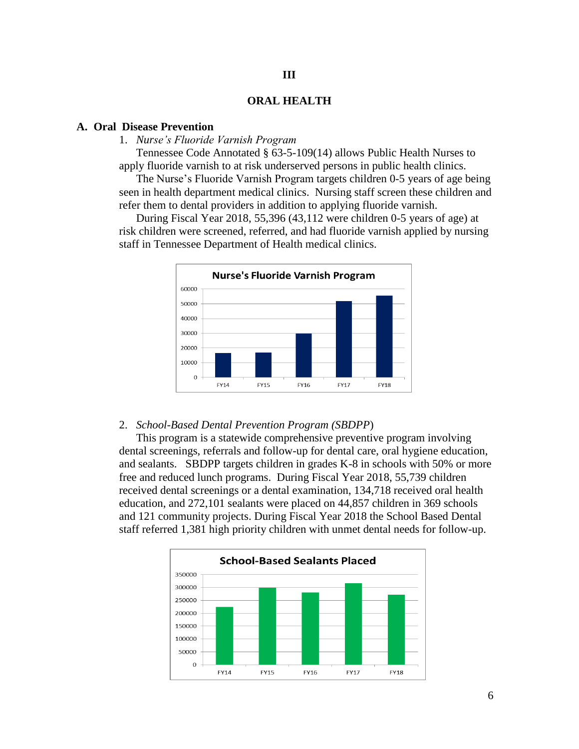# **ORAL HEALTH**

**III**

# **A. Oral Disease Prevention**

# 1. *Nurse's Fluoride Varnish Program*

Tennessee Code Annotated § 63-5-109(14) allows Public Health Nurses to apply fluoride varnish to at risk underserved persons in public health clinics.

The Nurse's Fluoride Varnish Program targets children 0-5 years of age being seen in health department medical clinics. Nursing staff screen these children and refer them to dental providers in addition to applying fluoride varnish.

During Fiscal Year 2018, 55,396 (43,112 were children 0-5 years of age) at risk children were screened, referred, and had fluoride varnish applied by nursing staff in Tennessee Department of Health medical clinics.



#### 2. *School-Based Dental Prevention Program (SBDPP*)

This program is a statewide comprehensive preventive program involving dental screenings, referrals and follow-up for dental care, oral hygiene education, and sealants. SBDPP targets children in grades K-8 in schools with 50% or more free and reduced lunch programs. During Fiscal Year 2018, 55,739 children received dental screenings or a dental examination, 134,718 received oral health education, and 272,101 sealants were placed on 44,857 children in 369 schools and 121 community projects. During Fiscal Year 2018 the School Based Dental staff referred 1,381 high priority children with unmet dental needs for follow-up.

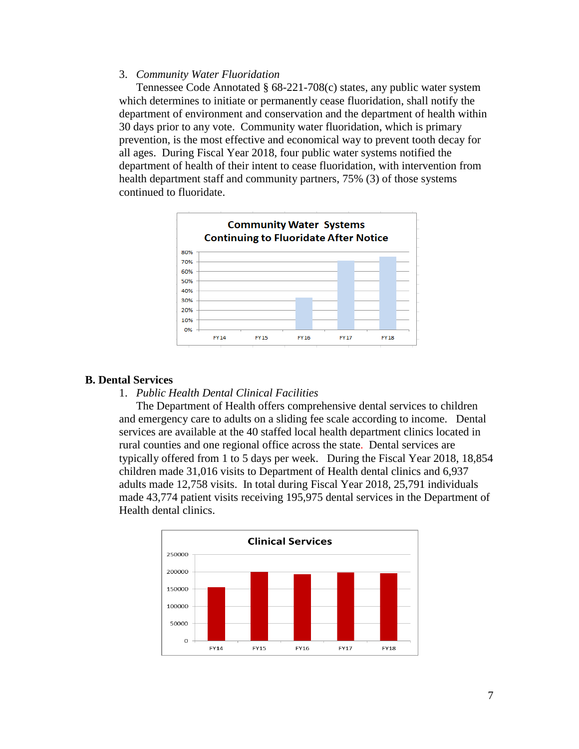# 3. *Community Water Fluoridation*

Tennessee Code Annotated § 68-221-708(c) states, any public water system which determines to initiate or permanently cease fluoridation, shall notify the department of environment and conservation and the department of health within 30 days prior to any vote. Community water fluoridation, which is primary prevention, is the most effective and economical way to prevent tooth decay for all ages. During Fiscal Year 2018, four public water systems notified the department of health of their intent to cease fluoridation, with intervention from health department staff and community partners, 75% (3) of those systems continued to fluoridate.



#### **B. Dental Services**

#### 1. *Public Health Dental Clinical Facilities*

The Department of Health offers comprehensive dental services to children and emergency care to adults on a sliding fee scale according to income. Dental services are available at the 40 staffed local health department clinics located in rural counties and one regional office across the state. Dental services are typically offered from 1 to 5 days per week. During the Fiscal Year 2018, 18,854 children made 31,016 visits to Department of Health dental clinics and 6,937 adults made 12,758 visits. In total during Fiscal Year 2018, 25,791 individuals made 43,774 patient visits receiving 195,975 dental services in the Department of Health dental clinics.